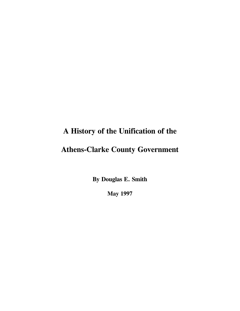## **A History of the Unification of the**

## **Athens-Clarke County Government**

**By Douglas E. Smith**

**May 1997**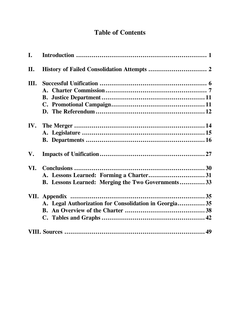## **Table of Contents**

| I.   |                                                          |  |
|------|----------------------------------------------------------|--|
| II.  |                                                          |  |
| III. |                                                          |  |
|      |                                                          |  |
|      |                                                          |  |
|      |                                                          |  |
|      |                                                          |  |
| IV.  |                                                          |  |
|      |                                                          |  |
|      |                                                          |  |
| V.   |                                                          |  |
| VI.  |                                                          |  |
|      | A. Lessons Learned: Forming a Charter31                  |  |
|      | <b>B.</b> Lessons Learned: Merging the Two Governments33 |  |
|      |                                                          |  |
|      | A. Legal Authorization for Consolidation in Georgia 35   |  |
|      |                                                          |  |
|      |                                                          |  |
|      |                                                          |  |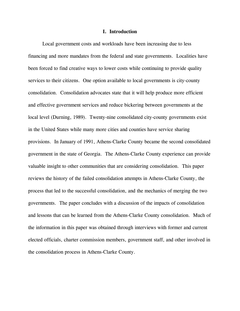#### **I. Introduction**

Local government costs and workloads have been increasing due to less financing and more mandates from the federal and state governments. Localities have been forced to find creative ways to lower costs while continuing to provide quality services to their citizens. One option available to local governments is city-county consolidation. Consolidation advocates state that it will help produce more efficient and effective government services and reduce bickering between governments at the local level (Durning, 1989). Twenty-nine consolidated city-county governments exist in the United States while many more cities and counties have service sharing provisions. In January of 1991, Athens-Clarke County became the second consolidated government in the state of Georgia. The Athens-Clarke County experience can provide valuable insight to other communities that are considering consolidation. This paper reviews the history of the failed consolidation attempts in Athens-Clarke County, the process that led to the successful consolidation, and the mechanics of merging the two governments. The paper concludes with a discussion of the impacts of consolidation and lessons that can be learned from the Athens-Clarke County consolidation. Much of the information in this paper was obtained through interviews with former and current elected officials, charter commission members, government staff, and other involved in the consolidation process in Athens-Clarke County.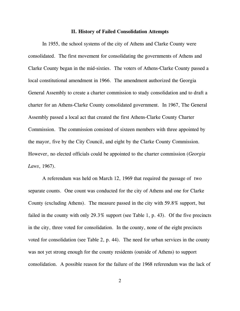#### **II. History of Failed Consolidation Attempts**

In 1955, the school systems of the city of Athens and Clarke County were consolidated. The first movement for consolidating the governments of Athens and Clarke County began in the mid-sixties. The voters of Athens-Clarke County passed a local constitutional amendment in 1966. The amendment authorized the Georgia General Assembly to create a charter commission to study consolidation and to draft a charter for an Athens-Clarke County consolidated government. In 1967, The General Assembly passed a local act that created the first Athens-Clarke County Charter Commission. The commission consisted of sixteen members with three appointed by the mayor, five by the City Council, and eight by the Clarke County Commission. However, no elected officials could be appointed to the charter commission (*Georgia Laws*, 1967).

A referendum was held on March 12, 1969 that required the passage of two separate counts. One count was conducted for the city of Athens and one for Clarke County (excluding Athens). The measure passed in the city with 59.8% support, but failed in the county with only 29.3% support (see Table 1, p. 43). Of the five precincts in the city, three voted for consolidation. In the county, none of the eight precincts voted for consolidation (see Table 2, p. 44). The need for urban services in the county was not yet strong enough for the county residents (outside of Athens) to support consolidation. A possible reason for the failure of the 1968 referendum was the lack of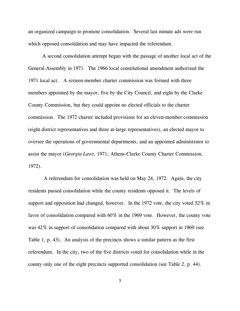an organized campaign to promote consolidation. Several last minute ads were run which opposed consolidation and may have impacted the referendum.

A second consolidation attempt began with the passage of another local act of the General Assembly in 1971. The 1966 local constitutional amendment authorized the 1971 local act. A sixteen-member charter commission was formed with three members appointed by the mayor, five by the City Council, and eight by the Clarke County Commission, but they could appoint no elected officials to the charter commission. The 1972 charter included provisions for an eleven-member commission (eight district representatives and three at-large representatives), an elected mayor to oversee the operations of governmental departments, and an appointed administrator to assist the mayor (*Georgia Laws*, 1971; Athens-Clarke County Charter Commission, 1972).

A referendum for consolidation was held on May 24, 1972. Again, the city residents passed consolidation while the county residents opposed it. The levels of support and opposition had changed, however. In the 1972 vote, the city voted 52% in favor of consolidation compared with 60% in the 1969 vote. However, the county vote was 42% in support of consolidation compared with about 30% support in 1969 (see Table 1, p. 43). An analysis of the precincts shows a similar pattern as the first referendum. In the city, two of the five districts voted for consolidation while in the county only one of the eight precincts supported consolidation (see Table 2, p. 44).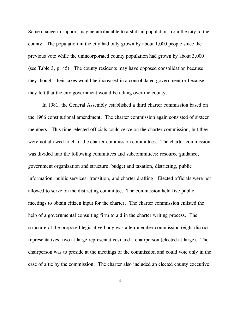Some change in support may be attributable to a shift in population from the city to the county. The population in the city had only grown by about 1,000 people since the previous vote while the unincorporated county population had grown by about 3,000 (see Table 3, p. 45). The county residents may have opposed consolidation because they thought their taxes would be increased in a consolidated government or because they felt that the city government would be taking over the county.

In 1981, the General Assembly established a third charter commission based on the 1966 constitutional amendment. The charter commission again consisted of sixteen members. This time, elected officials could serve on the charter commission, but they were not allowed to chair the charter commission committees. The charter commission was divided into the following committees and subcommittees: resource guidance, government organization and structure, budget and taxation, districting, public information, public services, transition, and charter drafting. Elected officials were not allowed to serve on the districting committee. The commission held five public meetings to obtain citizen input for the charter. The charter commission enlisted the help of a governmental consulting firm to aid in the charter writing process. The structure of the proposed legislative body was a ten-member commission (eight district representatives, two at-large representatives) and a chairperson (elected at-large). The chairperson was to preside at the meetings of the commission and could vote only in the case of a tie by the commission. The charter also included an elected county executive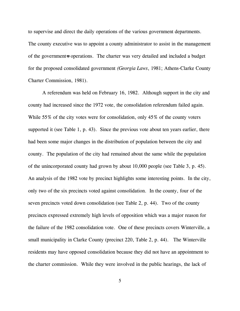to supervise and direct the daily operations of the various government departments. The county executive was to appoint a county administrator to assist in the management of the government=s operations. The charter was very detailed and included a budget for the proposed consolidated government *(Georgia Laws*, 1981; Athens-Clarke County Charter Commission, 1981).

 A referendum was held on February 16, 1982. Although support in the city and county had increased since the 1972 vote, the consolidation referendum failed again. While 55% of the city votes were for consolidation, only 45% of the county voters supported it (see Table 1, p. 43). Since the previous vote about ten years earlier, there had been some major changes in the distribution of population between the city and county. The population of the city had remained about the same while the population of the unincorporated county had grown by about 10,000 people (see Table 3, p. 45). An analysis of the 1982 vote by precinct highlights some interesting points. In the city, only two of the six precincts voted against consolidation. In the county, four of the seven precincts voted down consolidation (see Table 2, p. 44). Two of the county precincts expressed extremely high levels of opposition which was a major reason for the failure of the 1982 consolidation vote. One of these precincts covers Winterville, a small municipality in Clarke County (precinct 220, Table 2, p. 44). The Winterville residents may have opposed consolidation because they did not have an appointment to the charter commission. While they were involved in the public hearings, the lack of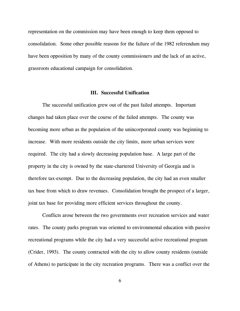representation on the commission may have been enough to keep them opposed to consolidation. Some other possible reasons for the failure of the 1982 referendum may have been opposition by many of the county commissioners and the lack of an active, grassroots educational campaign for consolidation.

#### **III. Successful Unification**

The successful unification grew out of the past failed attempts. Important changes had taken place over the course of the failed attempts. The county was becoming more urban as the population of the unincorporated county was beginning to increase. With more residents outside the city limits, more urban services were required. The city had a slowly decreasing population base. A large part of the property in the city is owned by the state-chartered University of Georgia and is therefore tax-exempt. Due to the decreasing population, the city had an even smaller tax base from which to draw revenues. Consolidation brought the prospect of a larger, joint tax base for providing more efficient services throughout the county.

Conflicts arose between the two governments over recreation services and water rates. The county parks program was oriented to environmental education with passive recreational programs while the city had a very successful active recreational program (Crider, 1993). The county contracted with the city to allow county residents (outside of Athens) to participate in the city recreation programs. There was a conflict over the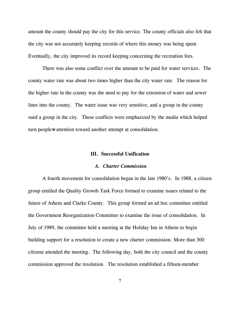amount the county should pay the city for this service. The county officials also felt that the city was not accurately keeping records of where this money was being spent. Eventually, the city improved its record keeping concerning the recreation fees.

There was also some conflict over the amount to be paid for water services. The county water rate was about two times higher than the city water rate. The reason for the higher rate in the county was the need to pay for the extension of water and sewer lines into the county. The water issue was very sensitive, and a group in the county sued a group in the city. These conflicts were emphasized by the media which helped turn people-s attention toward another attempt at consolidation.

#### **III. Successful Unification**

#### *A. Charter Commission*

A fourth movement for consolidation began in the late 1980's. In 1988, a citizen group entitled the Quality Growth Task Force formed to examine issues related to the future of Athens and Clarke County. This group formed an ad hoc committee entitled the Government Reorganization Committee to examine the issue of consolidation. In July of 1989, the committee held a meeting at the Holiday Inn in Athens to begin building support for a resolution to create a new charter commission. More than 300 citizens attended the meeting. The following day, both the city council and the county commission approved the resolution. The resolution established a fifteen-member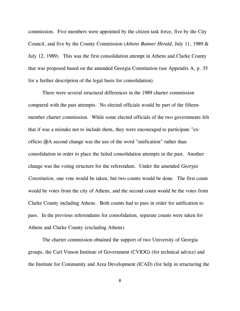commission. Five members were appointed by the citizen task force, five by the City Council, and five by the County Commission (*Athens Banner Herald*, July 11, 1989 & July 12, 1989). This was the first consolidation attempt in Athens and Clarke County that was proposed based on the amended Georgia Constitution (see Appendix A, p. 35 for a further description of the legal basis for consolidation).

There were several structural differences in the 1989 charter commission compared with the past attempts. No elected officials would be part of the fifteenmember charter commission. While some elected officials of the two governments felt that if was a mistake not to include them, they were encouraged to participate "exofficio.@ A second change was the use of the word "unification" rather than consolidation in order to place the failed consolidation attempts in the past. Another change was the voting structure for the referendum. Under the amended *Georgia Constitution*, one vote would be taken, but two counts would be done. The first count would be votes from the city of Athens, and the second count would be the votes from Clarke County including Athens. Both counts had to pass in order for unification to pass. In the previous referendums for consolidation, separate counts were taken for Athens and Clarke County (excluding Athens).

The charter commission obtained the support of two University of Georgia groups, the Carl Vinson Institute of Government (CVIOG) (for technical advice) and the Institute for Community and Area Development (ICAD) (for help in structuring the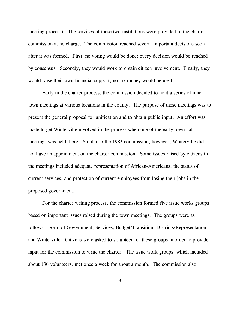meeting process). The services of these two institutions were provided to the charter commission at no charge. The commission reached several important decisions soon after it was formed. First, no voting would be done; every decision would be reached by consensus. Secondly, they would work to obtain citizen involvement. Finally, they would raise their own financial support; no tax money would be used.

Early in the charter process, the commission decided to hold a series of nine town meetings at various locations in the county. The purpose of these meetings was to present the general proposal for unification and to obtain public input. An effort was made to get Winterville involved in the process when one of the early town hall meetings was held there. Similar to the 1982 commission, however, Winterville did not have an appointment on the charter commission. Some issues raised by citizens in the meetings included adequate representation of African-Americans, the status of current services, and protection of current employees from losing their jobs in the proposed government.

For the charter writing process, the commission formed five issue works groups based on important issues raised during the town meetings. The groups were as follows: Form of Government, Services, Budget/Transition, Districts/Representation, and Winterville. Citizens were asked to volunteer for these groups in order to provide input for the commission to write the charter. The issue work groups, which included about 130 volunteers, met once a week for about a month. The commission also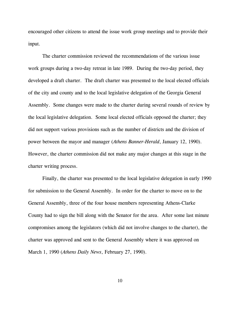encouraged other citizens to attend the issue work group meetings and to provide their input.

The charter commission reviewed the recommendations of the various issue work groups during a two-day retreat in late 1989. During the two-day period, they developed a draft charter. The draft charter was presented to the local elected officials of the city and county and to the local legislative delegation of the Georgia General Assembly. Some changes were made to the charter during several rounds of review by the local legislative delegation. Some local elected officials opposed the charter; they did not support various provisions such as the number of districts and the division of power between the mayor and manager (*Athens Banner-Herald*, January 12, 1990). However, the charter commission did not make any major changes at this stage in the charter writing process.

Finally, the charter was presented to the local legislative delegation in early 1990 for submission to the General Assembly. In order for the charter to move on to the General Assembly, three of the four house members representing Athens-Clarke County had to sign the bill along with the Senator for the area. After some last minute compromises among the legislators (which did not involve changes to the charter), the charter was approved and sent to the General Assembly where it was approved on March 1, 1990 (*Athens Daily News*, February 27, 1990).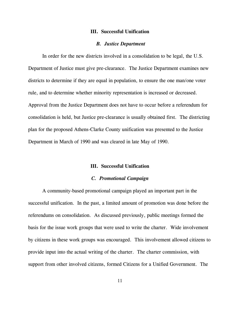#### **III. Successful Unification**

#### *B. Justice Department*

In order for the new districts involved in a consolidation to be legal, the U.S. Department of Justice must give pre-clearance. The Justice Department examines new districts to determine if they are equal in population, to ensure the one man/one voter rule, and to determine whether minority representation is increased or decreased. Approval from the Justice Department does not have to occur before a referendum for consolidation is held, but Justice pre-clearance is usually obtained first. The districting plan for the proposed Athens-Clarke County unification was presented to the Justice Department in March of 1990 and was cleared in late May of 1990.

#### **III. Successful Unification**

#### *C. Promotional Campaign*

A community-based promotional campaign played an important part in the successful unification. In the past, a limited amount of promotion was done before the referendums on consolidation. As discussed previously, public meetings formed the basis for the issue work groups that were used to write the charter. Wide involvement by citizens in these work groups was encouraged. This involvement allowed citizens to provide input into the actual writing of the charter. The charter commission, with support from other involved citizens, formed Citizens for a Unified Government. The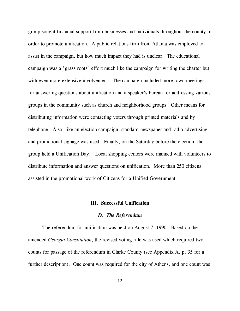group sought financial support from businesses and individuals throughout the county in order to promote unification. A public relations firm from Atlanta was employed to assist in the campaign, but how much impact they had is unclear. The educational campaign was a "grass roots" effort much like the campaign for writing the charter but with even more extensive involvement. The campaign included more town meetings for answering questions about unification and a speaker's bureau for addressing various groups in the community such as church and neighborhood groups. Other means for distributing information were contacting voters through printed materials and by telephone. Also, like an election campaign, standard newspaper and radio advertising and promotional signage was used. Finally, on the Saturday before the election, the group held a Unification Day. Local shopping centers were manned with volunteers to distribute information and answer questions on unification. More than 250 citizens assisted in the promotional work of Citizens for a Unified Government.

#### **III. Successful Unification**

#### *D. The Referendum*

The referendum for unification was held on August 7, 1990. Based on the amended *Georgia Constitution*, the revised voting rule was used which required two counts for passage of the referendum in Clarke County (see Appendix A, p. 35 for a further description). One count was required for the city of Athens, and one count was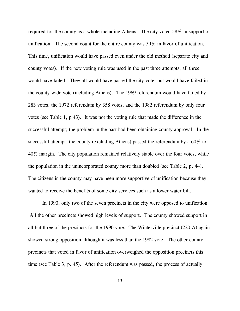required for the county as a whole including Athens. The city voted 58% in support of unification. The second count for the entire county was 59% in favor of unification. This time, unification would have passed even under the old method (separate city and county votes). If the new voting rule was used in the past three attempts, all three would have failed. They all would have passed the city vote, but would have failed in the county-wide vote (including Athens). The 1969 referendum would have failed by 283 votes, the 1972 referendum by 358 votes, and the 1982 referendum by only four votes (see Table 1, p 43). It was not the voting rule that made the difference in the successful attempt; the problem in the past had been obtaining county approval. In the successful attempt, the county (excluding Athens) passed the referendum by a 60% to 40% margin. The city population remained relatively stable over the four votes, while the population in the unincorporated county more than doubled (see Table 2, p. 44). The citizens in the county may have been more supportive of unification because they wanted to receive the benefits of some city services such as a lower water bill.

In 1990, only two of the seven precincts in the city were opposed to unification. All the other precincts showed high levels of support. The county showed support in all but three of the precincts for the 1990 vote. The Winterville precinct (220-A) again showed strong opposition although it was less than the 1982 vote. The other county precincts that voted in favor of unification overweighed the opposition precincts this time (see Table 3, p. 45). After the referendum was passed, the process of actually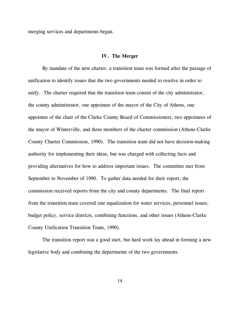merging services and departments began.

#### **IV. The Merger**

By mandate of the new charter, a transition team was formed after the passage of unification to identify issues that the two governments needed to resolve in order to unify. The charter required that the transition team consist of the city administrator, the county administrator, one appointee of the mayor of the City of Athens, one appointee of the chair of the Clarke County Board of Commissioners, two appointees of the mayor of Winterville, and three members of the charter commission (Athens-Clarke County Charter Commission, 1990). The transition team did not have decision-making authority for implementing their ideas, but was charged with collecting facts and providing alternatives for how to address important issues. The committee met from September to November of 1990. To gather data needed for their report, the commission received reports from the city and county departments. The final report from the transition team covered rate equalization for water services, personnel issues, budget policy, service districts, combining functions, and other issues (Athens-Clarke County Unification Transition Team, 1990).

The transition report was a good start, but hard work lay ahead in forming a new legislative body and combining the departments of the two governments.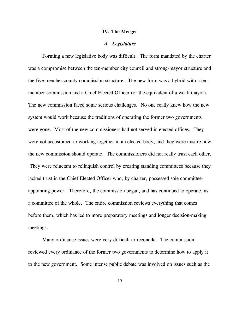#### **IV. The Merger**

#### *A. Legislature*

Forming a new legislative body was difficult. The form mandated by the charter was a compromise between the ten-member city council and strong-mayor structure and the five-member county commission structure. The new form was a hybrid with a tenmember commission and a Chief Elected Officer (or the equivalent of a weak-mayor). The new commission faced some serious challenges. No one really knew how the new system would work because the traditions of operating the former two governments were gone. Most of the new commissioners had not served in elected offices. They were not accustomed to working together in an elected body, and they were unsure how the new commission should operate. The commissioners did not really trust each other. They were reluctant to relinquish control by creating standing committees because they lacked trust in the Chief Elected Officer who, by charter, possessed sole committeeappointing power. Therefore, the commission began, and has continued to operate, as a committee of the whole. The entire commission reviews everything that comes before them, which has led to more preparatory meetings and longer decision-making meetings.

Many ordinance issues were very difficult to reconcile. The commission reviewed every ordinance of the former two governments to determine how to apply it to the new government. Some intense public debate was involved on issues such as the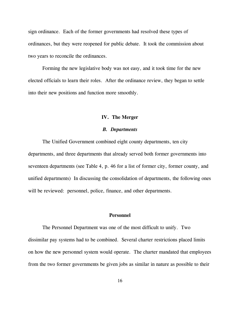sign ordinance. Each of the former governments had resolved these types of ordinances, but they were reopened for public debate. It took the commission about two years to reconcile the ordinances.

Forming the new legislative body was not easy, and it took time for the new elected officials to learn their roles. After the ordinance review, they began to settle into their new positions and function more smoothly.

#### **IV. The Merger**

#### *B. Departments*

The Unified Government combined eight county departments, ten city departments, and three departments that already served both former governments into seventeen departments (see Table 4, p. 46 for a list of former city, former county, and unified departments) In discussing the consolidation of departments, the following ones will be reviewed: personnel, police, finance, and other departments.

#### **Personnel**

The Personnel Department was one of the most difficult to unify. Two dissimilar pay systems had to be combined. Several charter restrictions placed limits on how the new personnel system would operate. The charter mandated that employees from the two former governments be given jobs as similar in nature as possible to their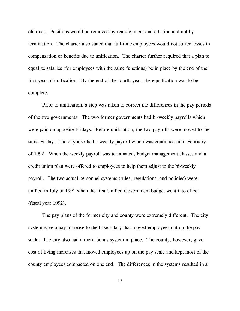old ones. Positions would be removed by reassignment and attrition and not by termination. The charter also stated that full-time employees would not suffer losses in compensation or benefits due to unification. The charter further required that a plan to equalize salaries (for employees with the same functions) be in place by the end of the first year of unification. By the end of the fourth year, the equalization was to be complete.

Prior to unification, a step was taken to correct the differences in the pay periods of the two governments. The two former governments had bi-weekly payrolls which were paid on opposite Fridays. Before unification, the two payrolls were moved to the same Friday. The city also had a weekly payroll which was continued until February of 1992. When the weekly payroll was terminated, budget management classes and a credit union plan were offered to employees to help them adjust to the bi-weekly payroll. The two actual personnel systems (rules, regulations, and policies) were unified in July of 1991 when the first Unified Government budget went into effect (fiscal year 1992).

The pay plans of the former city and county were extremely different. The city system gave a pay increase to the base salary that moved employees out on the pay scale. The city also had a merit bonus system in place. The county, however, gave cost of living increases that moved employees up on the pay scale and kept most of the county employees compacted on one end. The differences in the systems resulted in a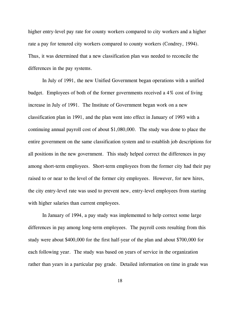higher entry-level pay rate for county workers compared to city workers and a higher rate a pay for tenured city workers compared to county workers (Condrey, 1994). Thus, it was determined that a new classification plan was needed to reconcile the differences in the pay systems.

In July of 1991, the new Unified Government began operations with a unified budget. Employees of both of the former governments received a 4% cost of living increase in July of 1991. The Institute of Government began work on a new classification plan in 1991, and the plan went into effect in January of 1993 with a continuing annual payroll cost of about \$1,080,000. The study was done to place the entire government on the same classification system and to establish job descriptions for all positions in the new government. This study helped correct the differences in pay among short-term employees. Short-term employees from the former city had their pay raised to or near to the level of the former city employees. However, for new hires, the city entry-level rate was used to prevent new, entry-level employees from starting with higher salaries than current employees.

In January of 1994, a pay study was implemented to help correct some large differences in pay among long-term employees. The payroll costs resulting from this study were about \$400,000 for the first half-year of the plan and about \$700,000 for each following year. The study was based on years of service in the organization rather than years in a particular pay grade. Detailed information on time in grade was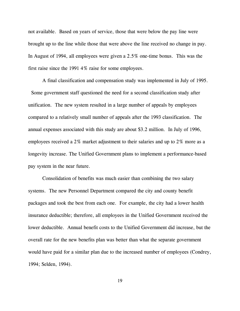not available. Based on years of service, those that were below the pay line were brought up to the line while those that were above the line received no change in pay. In August of 1994, all employees were given a 2.5% one-time bonus. This was the first raise since the 1991 4% raise for some employees.

A final classification and compensation study was implemented in July of 1995. Some government staff questioned the need for a second classification study after unification. The new system resulted in a large number of appeals by employees compared to a relatively small number of appeals after the 1993 classification. The annual expenses associated with this study are about \$3.2 million. In July of 1996, employees received a 2% market adjustment to their salaries and up to 2% more as a longevity increase. The Unified Government plans to implement a performance-based pay system in the near future.

 Consolidation of benefits was much easier than combining the two salary systems. The new Personnel Department compared the city and county benefit packages and took the best from each one. For example, the city had a lower health insurance deductible; therefore, all employees in the Unified Government received the lower deductible. Annual benefit costs to the Unified Government did increase, but the overall rate for the new benefits plan was better than what the separate government would have paid for a similar plan due to the increased number of employees (Condrey, 1994; Selden, 1994).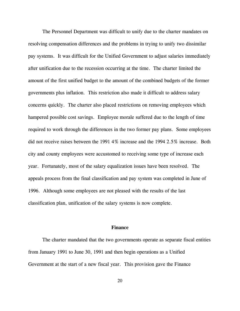The Personnel Department was difficult to unify due to the charter mandates on resolving compensation differences and the problems in trying to unify two dissimilar pay systems. It was difficult for the Unified Government to adjust salaries immediately after unification due to the recession occurring at the time. The charter limited the amount of the first unified budget to the amount of the combined budgets of the former governments plus inflation. This restriction also made it difficult to address salary concerns quickly. The charter also placed restrictions on removing employees which hampered possible cost savings. Employee morale suffered due to the length of time required to work through the differences in the two former pay plans. Some employees did not receive raises between the 1991 4% increase and the 1994 2.5% increase. Both city and county employees were accustomed to receiving some type of increase each year. Fortunately, most of the salary equalization issues have been resolved. The appeals process from the final classification and pay system was completed in June of 1996. Although some employees are not pleased with the results of the last classification plan, unification of the salary systems is now complete.

#### **Finance**

The charter mandated that the two governments operate as separate fiscal entities from January 1991 to June 30, 1991 and then begin operations as a Unified Government at the start of a new fiscal year. This provision gave the Finance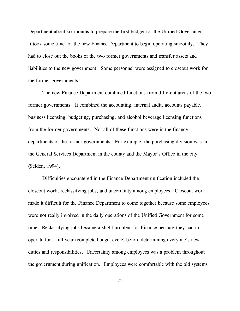Department about six months to prepare the first budget for the Unified Government. It took some time for the new Finance Department to begin operating smoothly. They had to close out the books of the two former governments and transfer assets and liabilities to the new government. Some personnel were assigned to closeout work for the former governments.

The new Finance Department combined functions from different areas of the two former governments. It combined the accounting, internal audit, accounts payable, business licensing, budgeting, purchasing, and alcohol beverage licensing functions from the former governments. Not all of these functions were in the finance departments of the former governments. For example, the purchasing division was in the General Services Department in the county and the Mayor's Office in the city (Selden, 1994).

Difficulties encountered in the Finance Department unification included the closeout work, reclassifying jobs, and uncertainty among employees. Closeout work made it difficult for the Finance Department to come together because some employees were not really involved in the daily operations of the Unified Government for some time. Reclassifying jobs became a slight problem for Finance because they had to operate for a full year (complete budget cycle) before determining everyone's new duties and responsibilities. Uncertainty among employees was a problem throughout the government during unification. Employees were comfortable with the old systems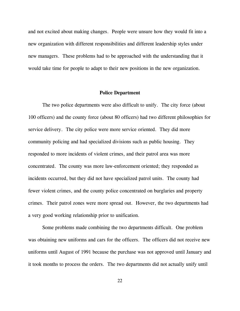and not excited about making changes. People were unsure how they would fit into a new organization with different responsibilities and different leadership styles under new managers. These problems had to be approached with the understanding that it would take time for people to adapt to their new positions in the new organization.

#### **Police Department**

The two police departments were also difficult to unify. The city force (about 100 officers) and the county force (about 80 officers) had two different philosophies for service delivery. The city police were more service oriented. They did more community policing and had specialized divisions such as public housing. They responded to more incidents of violent crimes, and their patrol area was more concentrated. The county was more law-enforcement oriented; they responded as incidents occurred, but they did not have specialized patrol units. The county had fewer violent crimes, and the county police concentrated on burglaries and property crimes. Their patrol zones were more spread out. However, the two departments had a very good working relationship prior to unification.

Some problems made combining the two departments difficult. One problem was obtaining new uniforms and cars for the officers. The officers did not receive new uniforms until August of 1991 because the purchase was not approved until January and it took months to process the orders. The two departments did not actually unify until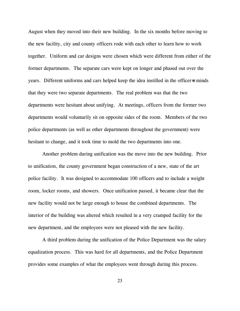August when they moved into their new building. In the six months before moving to the new facility, city and county officers rode with each other to learn how to work together. Uniform and car designs were chosen which were different from either of the former departments. The separate cars were kept on longer and phased out over the years. Different uniforms and cars helped keep the idea instilled in the officer-s minds that they were two separate departments. The real problem was that the two departments were hesitant about unifying. At meetings, officers from the former two departments would voluntarily sit on opposite sides of the room. Members of the two police departments (as well as other departments throughout the government) were hesitant to change, and it took time to mold the two departments into one.

Another problem during unification was the move into the new building. Prior to unification, the county government began construction of a new, state of the art police facility. It was designed to accommodate 100 officers and to include a weight room, locker rooms, and showers. Once unification passed, it became clear that the new facility would not be large enough to house the combined departments. The interior of the building was altered which resulted in a very cramped facility for the new department, and the employees were not pleased with the new facility.

A third problem during the unification of the Police Department was the salary equalization process. This was hard for all departments, and the Police Department provides some examples of what the employees went through during this process.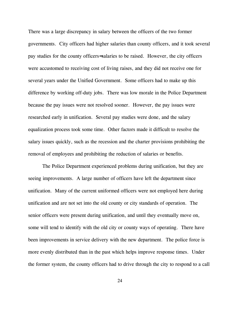There was a large discrepancy in salary between the officers of the two former governments. City officers had higher salaries than county officers, and it took several pay studies for the county officers= salaries to be raised. However, the city officers were accustomed to receiving cost of living raises, and they did not receive one for several years under the Unified Government. Some officers had to make up this difference by working off-duty jobs. There was low morale in the Police Department because the pay issues were not resolved sooner. However, the pay issues were researched early in unification. Several pay studies were done, and the salary equalization process took some time. Other factors made it difficult to resolve the salary issues quickly, such as the recession and the charter provisions prohibiting the removal of employees and prohibiting the reduction of salaries or benefits.

The Police Department experienced problems during unification, but they are seeing improvements. A large number of officers have left the department since unification. Many of the current uniformed officers were not employed here during unification and are not set into the old county or city standards of operation. The senior officers were present during unification, and until they eventually move on, some will tend to identify with the old city or county ways of operating. There have been improvements in service delivery with the new department. The police force is more evenly distributed than in the past which helps improve response times. Under the former system, the county officers had to drive through the city to respond to a call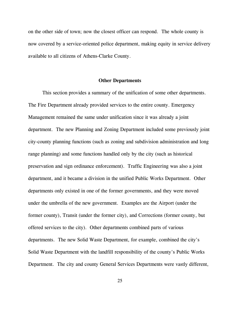on the other side of town; now the closest officer can respond. The whole county is now covered by a service-oriented police department, making equity in service delivery available to all citizens of Athens-Clarke County.

#### **Other Departments**

This section provides a summary of the unification of some other departments. The Fire Department already provided services to the entire county. Emergency Management remained the same under unification since it was already a joint department. The new Planning and Zoning Department included some previously joint city-county planning functions (such as zoning and subdivision administration and long range planning) and some functions handled only by the city (such as historical preservation and sign ordinance enforcement). Traffic Engineering was also a joint department, and it became a division in the unified Public Works Department. Other departments only existed in one of the former governments, and they were moved under the umbrella of the new government. Examples are the Airport (under the former county), Transit (under the former city), and Corrections (former county, but offered services to the city). Other departments combined parts of various departments. The new Solid Waste Department, for example, combined the city's Solid Waste Department with the landfill responsibility of the county's Public Works Department. The city and county General Services Departments were vastly different,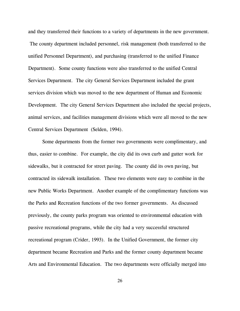and they transferred their functions to a variety of departments in the new government. The county department included personnel, risk management (both transferred to the unified Personnel Department), and purchasing (transferred to the unified Finance Department). Some county functions were also transferred to the unified Central Services Department. The city General Services Department included the grant services division which was moved to the new department of Human and Economic Development. The city General Services Department also included the special projects, animal services, and facilities management divisions which were all moved to the new Central Services Department (Selden, 1994).

Some departments from the former two governments were complimentary, and thus, easier to combine. For example, the city did its own curb and gutter work for sidewalks, but it contracted for street paving. The county did its own paving, but contracted its sidewalk installation. These two elements were easy to combine in the new Public Works Department. Another example of the complimentary functions was the Parks and Recreation functions of the two former governments. As discussed previously, the county parks program was oriented to environmental education with passive recreational programs, while the city had a very successful structured recreational program (Crider, 1993). In the Unified Government, the former city department became Recreation and Parks and the former county department became Arts and Environmental Education. The two departments were officially merged into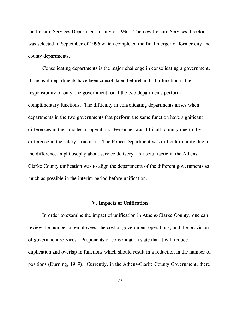the Leisure Services Department in July of 1996. The new Leisure Services director was selected in September of 1996 which completed the final merger of former city and county departments.

Consolidating departments is the major challenge in consolidating a government. It helps if departments have been consolidated beforehand, if a function is the responsibility of only one government, or if the two departments perform complimentary functions. The difficulty in consolidating departments arises when departments in the two governments that perform the same function have significant differences in their modes of operation. Personnel was difficult to unify due to the difference in the salary structures. The Police Department was difficult to unify due to the difference in philosophy about service delivery. A useful tactic in the Athens-Clarke County unification was to align the departments of the different governments as much as possible in the interim period before unification.

#### **V. Impacts of Unification**

In order to examine the impact of unification in Athens-Clarke County, one can review the number of employees, the cost of government operations, and the provision of government services. Proponents of consolidation state that it will reduce duplication and overlap in functions which should result in a reduction in the number of positions (Durning, 1989). Currently, in the Athens-Clarke County Government, there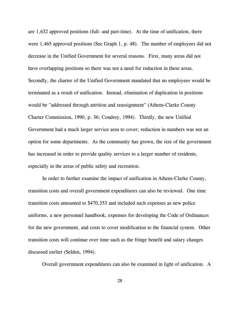are 1,632 approved positions (full- and part-time). At the time of unification, there were 1,465 approved positions (See Graph 1, p. 48). The number of employees did not decrease in the Unified Government for several reasons. First, many areas did not have overlapping positions so there was not a need for reduction in these areas. Secondly, the charter of the Unified Government mandated that no employees would be terminated as a result of unification. Instead, elimination of duplication in positions would be "addressed through attrition and reassignment" (Athens-Clarke County Charter Commission, 1990, p. 36; Condrey, 1994). Thirdly, the new Unified Government had a much larger service area to cover; reduction in numbers was not an option for some departments. As the community has grown, the size of the government has increased in order to provide quality services to a larger number of residents, especially in the areas of public safety and recreation.

In order to further examine the impact of unification in Athens-Clarke County, transition costs and overall government expenditures can also be reviewed. One time transition costs amounted to \$470,353 and included such expenses as new police uniforms, a new personnel handbook, expenses for developing the Code of Ordinances for the new government, and costs to cover modification to the financial system. Other transition costs will continue over time such as the fringe benefit and salary changes discussed earlier (Selden, 1994).

Overall government expenditures can also be examined in light of unification. A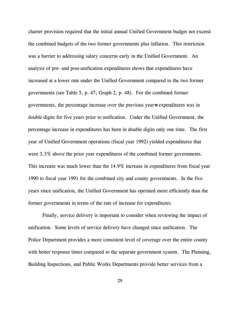charter provision required that the initial annual Unified Government budget not exceed the combined budgets of the two former governments plus inflation. This restriction was a barrier to addressing salary concerns early in the Unified Government. An analysis of pre- and post-unification expenditures shows that expenditures have increased at a lower rate under the Unified Government compared to the two former governments (see Table 5, p. 47; Graph 2, p. 48). For the combined former governments, the percentage increase over the previous year=s expenditures was in double digits for five years prior to unification. Under the Unified Government, the percentage increase in expenditures has been in double digits only one time. The first year of Unified Government operations (fiscal year 1992) yielded expenditures that were 3.3% above the prior year expenditures of the combined former governments. This increase was much lower than the 14.9% increase in expenditures from fiscal year 1990 to fiscal year 1991 for the combined city and county governments. In the five years since unification, the Unified Government has operated more efficiently than the former governments in terms of the rate of increase for expenditures.

Finally, service delivery is important to consider when reviewing the impact of unification. Some levels of service delivery have changed since unification. The Police Department provides a more consistent level of coverage over the entire county with better response times compared to the separate government system. The Planning, Building Inspections, and Public Works Departments provide better services from a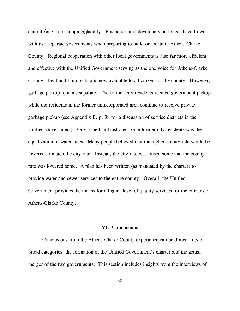central Aone stop shopping@ facility. Businesses and developers no longer have to work with two separate governments when preparing to build or locate in Athens-Clarke County. Regional cooperation with other local governments is also far more efficient and effective with the Unified Government serving as the one voice for Athens-Clarke County. Leaf and limb pickup is now available to all citizens of the county. However, garbage pickup remains separate. The former city residents receive government pickup while the residents in the former unincorporated area continue to receive private garbage pickup (see Appendix B, p. 38 for a discussion of service districts in the Unified Government). One issue that frustrated some former city residents was the equalization of water rates. Many people believed that the higher county rate would be lowered to match the city rate. Instead, the city rate was raised some and the county rate was lowered some. A plan has been written (as mandated by the charter) to provide water and sewer services to the entire county. Overall, the Unified Government provides the means for a higher level of quality services for the citizens of Athens-Clarke County.

#### **VI. Conclusions**

Conclusions from the Athens-Clarke County experience can be drawn in two broad categories: the formation of the Unified Government's charter and the actual merger of the two governments. This section includes insights from the interviews of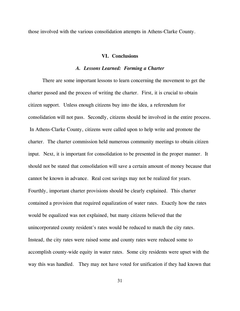those involved with the various consolidation attempts in Athens-Clarke County.

#### **VI. Conclusions**

#### *A. Lessons Learned: Forming a Charter*

There are some important lessons to learn concerning the movement to get the charter passed and the process of writing the charter. First, it is crucial to obtain citizen support. Unless enough citizens buy into the idea, a referendum for consolidation will not pass. Secondly, citizens should be involved in the entire process. In Athens-Clarke County, citizens were called upon to help write and promote the charter. The charter commission held numerous community meetings to obtain citizen input. Next, it is important for consolidation to be presented in the proper manner. It should not be stated that consolidation will save a certain amount of money because that cannot be known in advance. Real cost savings may not be realized for years. Fourthly, important charter provisions should be clearly explained. This charter contained a provision that required equalization of water rates. Exactly how the rates would be equalized was not explained, but many citizens believed that the unincorporated county resident's rates would be reduced to match the city rates. Instead, the city rates were raised some and county rates were reduced some to accomplish county-wide equity in water rates. Some city residents were upset with the way this was handled. They may not have voted for unification if they had known that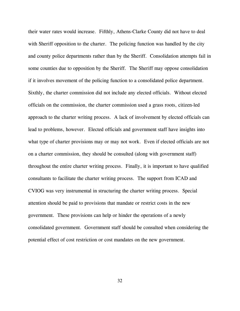their water rates would increase. Fifthly, Athens-Clarke County did not have to deal with Sheriff opposition to the charter. The policing function was handled by the city and county police departments rather than by the Sheriff. Consolidation attempts fail in some counties due to opposition by the Sheriff. The Sheriff may oppose consolidation if it involves movement of the policing function to a consolidated police department. Sixthly, the charter commission did not include any elected officials. Without elected officials on the commission, the charter commission used a grass roots, citizen-led approach to the charter writing process. A lack of involvement by elected officials can lead to problems, however. Elected officials and government staff have insights into what type of charter provisions may or may not work. Even if elected officials are not on a charter commission, they should be consulted (along with government staff) throughout the entire charter writing process. Finally, it is important to have qualified consultants to facilitate the charter writing process. The support from ICAD and CVIOG was very instrumental in structuring the charter writing process. Special attention should be paid to provisions that mandate or restrict costs in the new government. These provisions can help or hinder the operations of a newly consolidated government. Government staff should be consulted when considering the potential effect of cost restriction or cost mandates on the new government.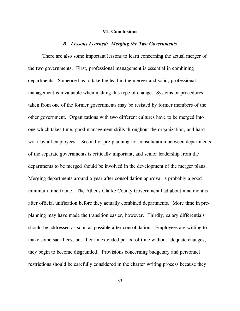#### **VI. Conclusions**

#### *B. Lessons Learned: Merging the Two Governments*

There are also some important lessons to learn concerning the actual merger of the two governments. First, professional management is essential in combining departments. Someone has to take the lead in the merger and solid, professional management is invaluable when making this type of change. Systems or procedures taken from one of the former governments may be resisted by former members of the other government. Organizations with two different cultures have to be merged into one which takes time, good management skills throughout the organization, and hard work by all employees. Secondly, pre-planning for consolidation between departments of the separate governments is critically important, and senior leadership from the departments to be merged should be involved in the development of the merger plans. Merging departments around a year after consolidation approval is probably a good minimum time frame. The Athens-Clarke County Government had about nine months after official unification before they actually combined departments. More time in preplanning may have made the transition easier, however. Thirdly, salary differentials should be addressed as soon as possible after consolidation. Employees are willing to make some sacrifices, but after an extended period of time without adequate changes, they begin to become disgruntled. Provisions concerning budgetary and personnel restrictions should be carefully considered in the charter writing process because they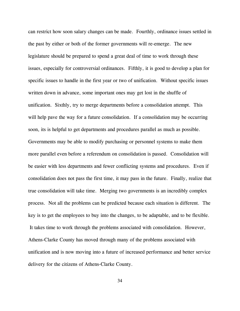can restrict how soon salary changes can be made. Fourthly, ordinance issues settled in the past by either or both of the former governments will re-emerge. The new legislature should be prepared to spend a great deal of time to work through these issues, especially for controversial ordinances. Fifthly, it is good to develop a plan for specific issues to handle in the first year or two of unification. Without specific issues written down in advance, some important ones may get lost in the shuffle of unification. Sixthly, try to merge departments before a consolidation attempt. This will help pave the way for a future consolidation. If a consolidation may be occurring soon, its is helpful to get departments and procedures parallel as much as possible. Governments may be able to modify purchasing or personnel systems to make them more parallel even before a referendum on consolidation is passed. Consolidation will be easier with less departments and fewer conflicting systems and procedures. Even if consolidation does not pass the first time, it may pass in the future. Finally, realize that true consolidation will take time. Merging two governments is an incredibly complex process. Not all the problems can be predicted because each situation is different. The key is to get the employees to buy into the changes, to be adaptable, and to be flexible. It takes time to work through the problems associated with consolidation. However, Athens-Clarke County has moved through many of the problems associated with unification and is now moving into a future of increased performance and better service delivery for the citizens of Athens-Clarke County.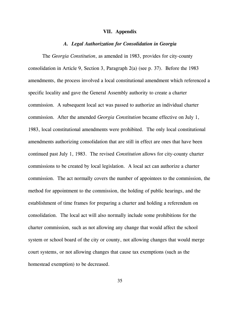#### **VII. Appendix**

#### *A. Legal Authorization for Consolidation in Georgia*

The *Georgia Constitution*, as amended in 1983, provides for city-county consolidation in Article 9, Section 3, Paragraph 2(a) (see p. 37). Before the 1983 amendments, the process involved a local constitutional amendment which referenced a specific locality and gave the General Assembly authority to create a charter commission. A subsequent local act was passed to authorize an individual charter commission. After the amended *Georgia Constitution* became effective on July 1, 1983, local constitutional amendments were prohibited. The only local constitutional amendments authorizing consolidation that are still in effect are ones that have been continued past July 1, 1983. The revised *Constitution* allows for city-county charter commissions to be created by local legislation. A local act can authorize a charter commission. The act normally covers the number of appointees to the commission, the method for appointment to the commission, the holding of public hearings, and the establishment of time frames for preparing a charter and holding a referendum on consolidation. The local act will also normally include some prohibitions for the charter commission, such as not allowing any change that would affect the school system or school board of the city or county, not allowing changes that would merge court systems, or not allowing changes that cause tax exemptions (such as the homestead exemption) to be decreased.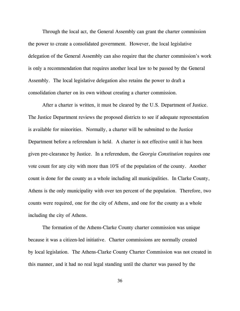Through the local act, the General Assembly can grant the charter commission the power to create a consolidated government. However, the local legislative delegation of the General Assembly can also require that the charter commission's work is only a recommendation that requires another local law to be passed by the General Assembly. The local legislative delegation also retains the power to draft a consolidation charter on its own without creating a charter commission.

After a charter is written, it must be cleared by the U.S. Department of Justice. The Justice Department reviews the proposed districts to see if adequate representation is available for minorities. Normally, a charter will be submitted to the Justice Department before a referendum is held. A charter is not effective until it has been given pre-clearance by Justice. In a referendum, the *Georgia Constitution* requires one vote count for any city with more than 10% of the population of the county. Another count is done for the county as a whole including all municipalities. In Clarke County, Athens is the only municipality with over ten percent of the population. Therefore, two counts were required, one for the city of Athens, and one for the county as a whole including the city of Athens.

The formation of the Athens-Clarke County charter commission was unique because it was a citizen-led initiative. Charter commissions are normally created by local legislation. The Athens-Clarke County Charter Commission was not created in this manner, and it had no real legal standing until the charter was passed by the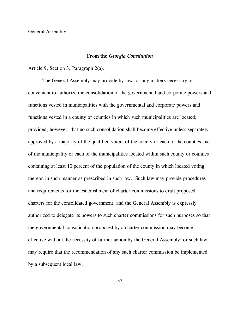General Assembly.

#### **From the** *Georgia Constitution*

Article 9, Section 3, Paragraph 2(a).

The General Assembly may provide by law for any matters necessary or convenient to authorize the consolidation of the governmental and corporate powers and functions vested in municipalities with the governmental and corporate powers and functions vested in a county or counties in which such municipalities are located; provided, however, that no such consolidation shall become effective unless separately approved by a majority of the qualified voters of the county or each of the counties and of the municipality or each of the municipalities located within such county or counties containing at least 10 percent of the population of the county in which located voting thereon in such manner as prescribed in such law. Such law may provide procedures and requirements for the establishment of charter commissions to draft proposed charters for the consolidated government, and the General Assembly is expressly authorized to delegate its powers to such charter commissions for such purposes so that the governmental consolidation proposed by a charter commission may become effective without the necessity of further action by the General Assembly; or such law may require that the recommendation of any such charter commission be implemented by a subsequent local law.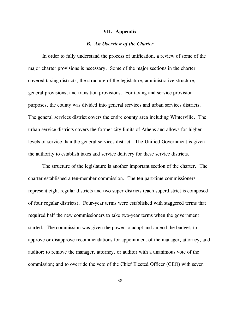#### **VII. Appendix**

#### *B. An Overview of the Charter*

In order to fully understand the process of unification, a review of some of the major charter provisions is necessary. Some of the major sections in the charter covered taxing districts, the structure of the legislature, administrative structure, general provisions, and transition provisions. For taxing and service provision purposes, the county was divided into general services and urban services districts. The general services district covers the entire county area including Winterville. The urban service districts covers the former city limits of Athens and allows for higher levels of service than the general services district. The Unified Government is given the authority to establish taxes and service delivery for these service districts.

The structure of the legislature is another important section of the charter. The charter established a ten-member commission. The ten part-time commissioners represent eight regular districts and two super-districts (each superdistrict is composed of four regular districts). Four-year terms were established with staggered terms that required half the new commissioners to take two-year terms when the government started. The commission was given the power to adopt and amend the budget; to approve or disapprove recommendations for appointment of the manager, attorney, and auditor; to remove the manager, attorney, or auditor with a unanimous vote of the commission; and to override the veto of the Chief Elected Officer (CEO) with seven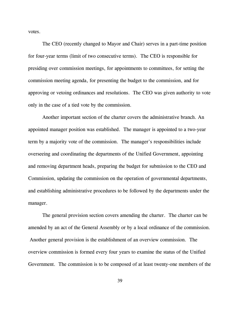votes.

The CEO (recently changed to Mayor and Chair) serves in a part-time position for four-year terms (limit of two consecutive terms). The CEO is responsible for presiding over commission meetings, for appointments to committees, for setting the commission meeting agenda, for presenting the budget to the commission, and for approving or vetoing ordinances and resolutions. The CEO was given authority to vote only in the case of a tied vote by the commission.

Another important section of the charter covers the administrative branch. An appointed manager position was established. The manager is appointed to a two-year term by a majority vote of the commission. The manager's responsibilities include overseeing and coordinating the departments of the Unified Government, appointing and removing department heads, preparing the budget for submission to the CEO and Commission, updating the commission on the operation of governmental departments, and establishing administrative procedures to be followed by the departments under the manager.

The general provision section covers amending the charter. The charter can be amended by an act of the General Assembly or by a local ordinance of the commission. Another general provision is the establishment of an overview commission. The overview commission is formed every four years to examine the status of the Unified Government. The commission is to be composed of at least twenty-one members of the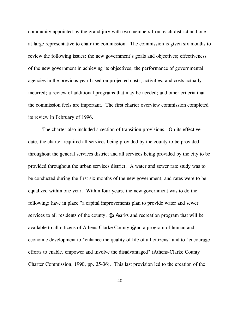community appointed by the grand jury with two members from each district and one at-large representative to chair the commission. The commission is given six months to review the following issues: the new government's goals and objectives; effectiveness of the new government in achieving its objectives; the performance of governmental agencies in the previous year based on projected costs, activities, and costs actually incurred; a review of additional programs that may be needed; and other criteria that the commission feels are important. The first charter overview commission completed its review in February of 1996.

The charter also included a section of transition provisions. On its effective date, the charter required all services being provided by the county to be provided throughout the general services district and all services being provided by the city to be provided throughout the urban services district. A water and sewer rate study was to be conducted during the first six months of the new government, and rates were to be equalized within one year. Within four years, the new government was to do the following: have in place "a capital improvements plan to provide water and sewer services to all residents of the county,  $\mathscr Q$  a Aparks and recreation program that will be available to all citizens of Athens-Clarke County,@ and a program of human and economic development to "enhance the quality of life of all citizens" and to "encourage efforts to enable, empower and involve the disadvantaged" (Athens-Clarke County Charter Commission, 1990, pp. 35-36). This last provision led to the creation of the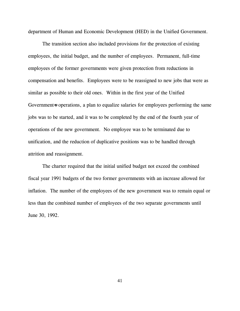department of Human and Economic Development (HED) in the Unified Government.

The transition section also included provisions for the protection of existing employees, the initial budget, and the number of employees. Permanent, full-time employees of the former governments were given protection from reductions in compensation and benefits. Employees were to be reassigned to new jobs that were as similar as possible to their old ones. Within in the first year of the Unified Government-s operations, a plan to equalize salaries for employees performing the same jobs was to be started, and it was to be completed by the end of the fourth year of operations of the new government. No employee was to be terminated due to unification, and the reduction of duplicative positions was to be handled through attrition and reassignment.

The charter required that the initial unified budget not exceed the combined fiscal year 1991 budgets of the two former governments with an increase allowed for inflation. The number of the employees of the new government was to remain equal or less than the combined number of employees of the two separate governments until June 30, 1992.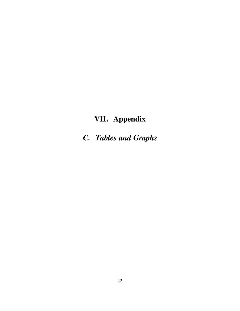# **VII. Appendix**

*C. Tables and Graphs*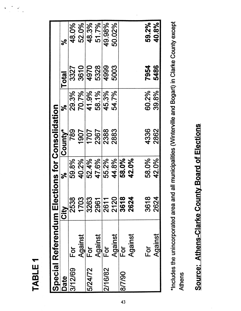| ÷ |  |
|---|--|
| Ш |  |
|   |  |
| m |  |
| d |  |
|   |  |

 $\label{eq:2} \frac{1}{2}\sum_{i=1}^n\frac{1}{2}\sum_{j=1}^n\frac{1}{2}\sum_{j=1}^n\frac{1}{2}\sum_{j=1}^n\frac{1}{2}\sum_{j=1}^n\frac{1}{2}\sum_{j=1}^n\frac{1}{2}\sum_{j=1}^n\frac{1}{2}\sum_{j=1}^n\frac{1}{2}\sum_{j=1}^n\frac{1}{2}\sum_{j=1}^n\frac{1}{2}\sum_{j=1}^n\frac{1}{2}\sum_{j=1}^n\frac{1}{2}\sum_{j=1}^n\frac{1}{2}\sum_{j=1}^n\frac{$ 

 $\hat{\bullet}$ 

|         | Special Referendum Elections for Consolidation |             |       |         |            |              |        |
|---------|------------------------------------------------|-------------|-------|---------|------------|--------------|--------|
| Date    |                                                | <b>City</b> | ಸ     | County* | $\epsilon$ | <b>Total</b> | ಸೆ     |
| 3/12/69 | Ēσ                                             | 2538        | 59.8% | 789     | 29.3%      | 3327         | 48.0%  |
|         | Against                                        | 1703        | 40.2% | 1907    | 70.7%      | 3610         | 52.0%  |
| 5/24/72 | For                                            | 3263        | 52.4% | 1707    | 41.9%      | 4970         | 48.3%  |
|         | Against                                        | 2961        | 47.6% | 2367    | 58.1%      | 5328         | 51.7%  |
| 2/16/82 | For                                            | 2611        | 55.2% | 2388    | 45.3%      | 4999         | 49.98% |
|         | Against                                        | 2120        | 44.8% | 2883    | 54.7%      | 5003         | 50.02% |
| 8/7/90  | $\overline{\overline{D}}$                      | 3618        | 58.0% |         |            |              |        |
|         | Against                                        | 2624        | 42.0% |         |            |              |        |
|         | For                                            | 3618        | 58.0% | 4336    | 60.2%      | 7954         | 59.2%  |
|         | Against                                        | 2624        | 42.0% | 2862    | 39.8%      | 5486         | 40.8%  |
|         |                                                |             |       |         |            |              |        |

\*Includes the unincorporated area and all municipalities (Winterville and Bogart) in Clarke County except \*Includes the unincorporated area and all municipalities (Winterville and Bogart) in Clarke County except Athens

# Source: Athens-Clarke County Board of Elections Source: Athens-Clarke County Board of Elections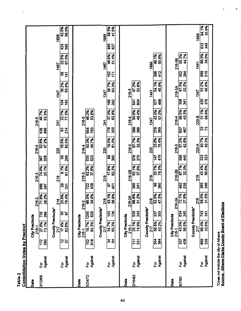| Table 2 | <b>Consolidation Votes by Precinct</b> |                             |                                 |                   |                                                     |                  |                |                   |                |                        |                |                        |                |            |                |            |                |
|---------|----------------------------------------|-----------------------------|---------------------------------|-------------------|-----------------------------------------------------|------------------|----------------|-------------------|----------------|------------------------|----------------|------------------------|----------------|------------|----------------|------------|----------------|
| Date    |                                        |                             | City Precincts<br>216-1         |                   |                                                     |                  | 216-3          |                   | 216-4          |                        | 216-5          |                        |                |            |                |            |                |
| 3/12/69 | Against<br>Ĕōī                         | 728                         | 27.9%<br>72.1%                  | <b>735</b><br>289 | 216-2<br>71.8%<br>28.2%                             | 886<br>297       | 74.9%<br>25.1% | 328<br>367        | 52.8%<br>47.2% | 438<br>499             | 46.7%<br>53.3% |                        |                |            |                |            |                |
|         |                                        |                             | <b>County Precincts*</b><br>217 |                   | $\frac{218}{2}$                                     |                  | 219            |                   | 220            |                        | 241            |                        | 1347           |            | 1467           |            | 1899           |
|         | Against<br>Ğ                           | $rac{2}{5}$                 | 17.4%<br>82.6%                  | $\frac{2}{3}$     | <b>23.6%</b><br>76.4%                               | ုဇ္လ<br>331      | 91.9%<br>8.1%  | န္တြ<br>299       | 16.5%<br>83.5% | 63<br>214              | 22.7%<br>77.3% | 28                     | 36.2%<br>63.8% | 68<br>141  | 32.5%<br>67.5% | 424<br>585 | 58.0%<br>42.0% |
| Date    |                                        |                             | City Precincts<br>216-1         |                   | 216-2                                               |                  | 216-3          |                   | 216-4          |                        | 216-5          |                        |                |            |                |            |                |
| 5/24/72 | Against<br>Ğ                           | $\frac{152}{618}$           | 19.7%                           | 1205<br>620       | 86.0%<br>34.0%<br>र्द्र                             | <b>Z28</b>       | 62.2%<br>37.8% | 53<br>523         | 50.3%<br>49.7% | 763<br>654             | 46.2%<br>53.8% |                        |                |            |                |            |                |
|         |                                        |                             | <b>County Precincts*</b><br>217 |                   | 218                                                 |                  | 219            |                   | 220            |                        | 241            |                        | ١<br>1347      |            | 1467           |            | 1899           |
|         | Against<br>$\overline{P}$              | 34                          | 34.7%<br>65.3%                  | <u>ခြံ ခ</u>      | 30 <sup>6</sup><br>$\frac{1}{2}$<br><b>43</b><br>\$ | 401<br>5         | 17.8%<br>82.2% | န္တြ<br>380       | 19.0%<br>81.0% | $\frac{178}{ }$<br>300 | 37.2%<br>62.8% | 169<br>292             | 36.7%<br>63.3% | 162<br>171 | 48.6%<br>51.4% | 885<br>627 | 58.5%<br>41.5% |
| Date    |                                        |                             | City Precincts<br>216-1         |                   |                                                     |                  | 216-2B         |                   | 216-3          |                        | 216-4          |                        | 216-5          |            |                |            |                |
| 2/16/82 | Against<br>Ēй                          | $\frac{11}{15}$             | <b>25.1%</b><br>74.9%           | 535<br>243        | 216-2A<br>68.8%<br>31.2%                            | 841              | 62.1%<br>37.9% | 575               | 67.7%<br>32.3% | 389<br>399             | 50.6%<br>49.4% | 604<br>541             | 47.2%<br>52.8% |            |                |            |                |
|         |                                        |                             | <b>County Precincts*</b><br>217 |                   | 218                                                 |                  | 219            |                   | 220            |                        | 1347           |                        | 1441           |            | 1899           |            |                |
|         | Against<br>$\overline{P}$              | $\frac{1}{2}$ $\frac{2}{2}$ | 56.8%<br>43.2%                  | 305<br>337        | 5%<br>3%<br>ន្ទ្រ ÷                                 | 8<br>380         | 79.3%<br>20.7% | 476<br>147        | 23.6%<br>76.4% | $\frac{1}{278}$<br>369 | 43.0%<br>57.0% | 489<br>$\overline{57}$ | 54.1%<br>45.9% | 892        | 49.1%<br>50.9% |            |                |
| Date    |                                        |                             | City Precincts<br>216-1         |                   |                                                     |                  | 216-2B         |                   | 216-3          |                        | 216-4          |                        | 216-5A         |            | 216-5B         |            |                |
| 8/7/90  | Against<br>Ğ                           | 438<br>337                  | 43.5%<br>56.5%                  | 634<br>245        | 216-2A<br>72.1%<br>27.9%                            | $\frac{1}{3}$ 35 | 67.7%<br>32.3% | <b>582</b><br>882 | 57.2%<br>42.8% | 467<br>607             | 56.5%<br>43.3% | $\frac{9}{34}$         | 47.5%<br>52.5% | 352        | 55.3%<br>44.7% |            |                |
|         |                                        |                             | <b>County Precincts*</b><br>217 |                   |                                                     |                  | 219            |                   | 220-A          |                        | 220-B          |                        | 1347           |            | 1441           |            | 1899           |
|         | Against<br>Ēō                          | 889<br>839                  | 66.4%<br>33.6%                  | <b>241</b><br>241 | 5%<br>$rac{218}{685}$<br>$\frac{1}{2}$              | 265<br>246       | 43.4%          | 23                | 59.3%<br>40.7% | 32                     | 31.1%<br>68.9% | 379<br>430             | 46.8%<br>53.2% | 886<br>515 | 34.0%<br>66.0% | 623<br>849 | 35.9%<br>64.1% |
|         | *Does not include the city of Athens   |                             |                                 |                   |                                                     |                  |                |                   |                |                        |                |                        |                |            |                |            |                |

 $\tau = \tau$ 

\*Does not include the city of Athens<br>Source:\_Athens-Clarke County Board of Elections Source: Athens-Clarke County Board of Elections

 $\ddot{\phantom{0}}$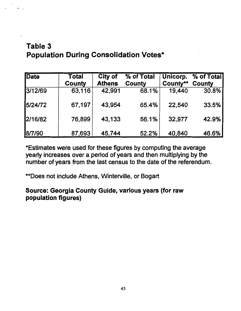## Table 3 Population During Consolidation Votes\*

| <b>Date</b> | Total<br><b>County</b> | City of<br><b>Athens</b> | % of Total<br>County | Unicorp.<br>County** | % of Total<br>County |
|-------------|------------------------|--------------------------|----------------------|----------------------|----------------------|
| 3/12/69     | 63,116                 | 42,991                   | 68.1%                | 19,440               | 30.8%                |
| 5/24/72     | 67,197                 | 43,954                   | 65.4%                | 22,540               | 33.5%                |
| 2/16/82     | 76,899                 | 43,133                   | 56.1%                | 32,977               | 42.9%                |
| 8/7/90      | 87,693                 | 45,744                   | 52.2%                | 40,840               | 46.6%                |

\*Estimates were used for these figures by computing the average yearly increases over a period of years and then multiplying by the number of years from the last census to the date of the referendum.

\*\*Does not include Athens, Winterville, or Bogart

Source: Georgia County Guide, various years (for raw population figures)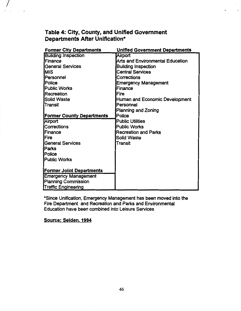### Table 4: City, County, and Unified Government Departments After Unification\*

| <b>Former City Departments</b>   | <b>Unified Government Departments</b>   |
|----------------------------------|-----------------------------------------|
| <b>Building Inspection</b>       | Airport                                 |
| Finance                          | <b>Arts and Environmental Education</b> |
| <b>General Services</b>          | <b>Building Inspection</b>              |
| <b>MIS</b>                       | <b>Central Services</b>                 |
| Personnel                        | Corrections                             |
| Police                           | <b>Emergency Management</b>             |
| <b>Public Works</b>              | Finance                                 |
| Recreation                       | Fire                                    |
| Solid Waste                      | Human and Economic Development          |
| Transit                          | Personnel                               |
|                                  | <b>Planning and Zoning</b>              |
| <b>Former County Departments</b> | Police                                  |
| Airport                          | <b>Public Utilities</b>                 |
| Corrections                      | <b>Public Works</b>                     |
| <b>Finance</b>                   | <b>Recreation and Parks</b>             |
| <b>IFire</b>                     | <b>Solid Waste</b>                      |
| <b>General Services</b>          | Transit                                 |
| <b>IParks</b>                    |                                         |
| Police                           |                                         |
| <b>Public Works</b>              |                                         |
|                                  |                                         |
| <b>Former Joint Departments</b>  |                                         |
| <b>Emergency Management</b>      |                                         |
| <b>Planning Commission</b>       |                                         |
| <b>Traffic Engineering</b>       |                                         |

\*Since Unification, Emergency Management has been moved into. the Fire Department and Recreation and Parks and Environmental Education have been combined into Leisure Services

#### Source: Selden. 1994

 $\frac{1}{2}$ ! .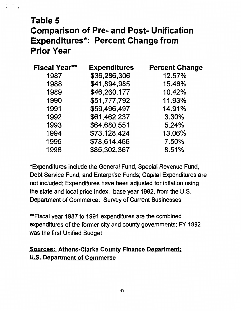# Table 5 Comparison of Pre- and Post- Unification Expenditures\*: Percent Change from Prior Year

| <b>Fiscal Year**</b> | <b>Expenditures</b> | <b>Percent Change</b> |
|----------------------|---------------------|-----------------------|
| 1987                 | \$36,286,306        | 12.57%                |
| 1988                 | \$41,894,985        | 15.46%                |
| 1989                 | \$46,260,177        | 10.42%                |
| 1990                 | \$51,777,792        | 11.93%                |
| 1991                 | \$59,496,497        | 14.91%                |
| 1992                 | \$61,462,237        | 3.30%                 |
| 1993                 | \$64,680,551        | 5.24%                 |
| 1994                 | \$73,128,424        | 13.06%                |
| 1995                 | \$78,614,456        | 7.50%                 |
| 1996                 | \$85,302,367        | 8.51%                 |

\*Expenditures include the General Fund, Special Revenue Fund, Debt Service Fund, and Enterprise Funds; Capital Expenditures are not included; Expenditures have been adjusted for inflation using the state and local price index, base year 1992, from the U.S. Department of Commerce: Survey of Current Businesses

\*\*Fiscal year 1987 to 1991 expenditures are the combined expenditures of the former city and county governments; FY 1992 was the first Unified Budget

## Sources: Athens-Clarke County Finance Department; U.S. Department of Commerce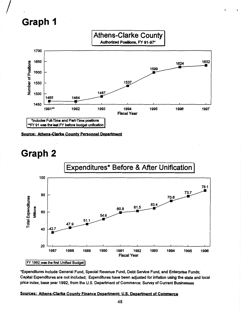# **Graph 1**

*I* 



Source: Athens-Clarke County Personnel Department

# **Graph 2**



\*Expenditures include General Fund, Special Revenue Fund, Debt Service Fund, and Enterprise Funds; Capital Expenditures are not included; Expenditures have been adjusted for inflation using the state and local price index, base year 1992, from the U.S. Department of Commerce: Survey of Current Businesses

#### Sources: Athens-Clarke County Finance Department; U.S. Department of Commerce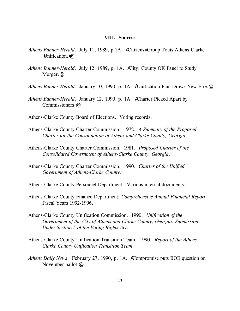#### **VIII. Sources**

- *Athens Banner-Herald*. July 11, 1989, p 1A. ACitizens= Group Touts Athens-Clarke  $\lambda$ Inification. $\equiv$
- *Athens Banner-Herald*. July 12, 1989, p. 1A. ACity, County OK Panel to Study Merger.@
- *Athens Banner-Herald*. January 10, 1990, p. 1A. AUnification Plan Draws New Fire.@
- *Athens Banner-Herald*. January 12, 1990, p. 1A. ACharter Picked Apart by Commissioners.@
- Athens-Clarke County Board of Elections. Voting records.
- Athens-Clarke County Charter Commission. 1972. *A Summary of the Proposed Charter for the Consolidation of Athens and Clarke County, Georgia*.
- Athens-Clarke County Charter Commission. 1981. *Proposed Charter of the Consolidated Government of Athens-Clarke County, Georgia*.
- Athens-Clarke County Charter Commission. 1990. *Charter of the Unified Government of Athens-Clarke County*.
- Athens-Clarke County Personnel Department. Various internal documents.
- Athens-Clarke County Finance Department: *Comprehensive Annual Financial Report.* Fiscal Years 1992-1996.
- Athens-Clarke County Unification Commission. 1990. *Unification of the Government of the City of Athens and Clarke County, Georgia: Submission Under Section 5 of the Voting Rights Act*.
- Athens-Clarke County Unification Transition Team. 1990. *Report of the Athens-Clarke County Unification Transition Team.*
- *Athens Daily News*. February 27, 1990, p. 1A. ACompromise puts BOE question on November ballot.@